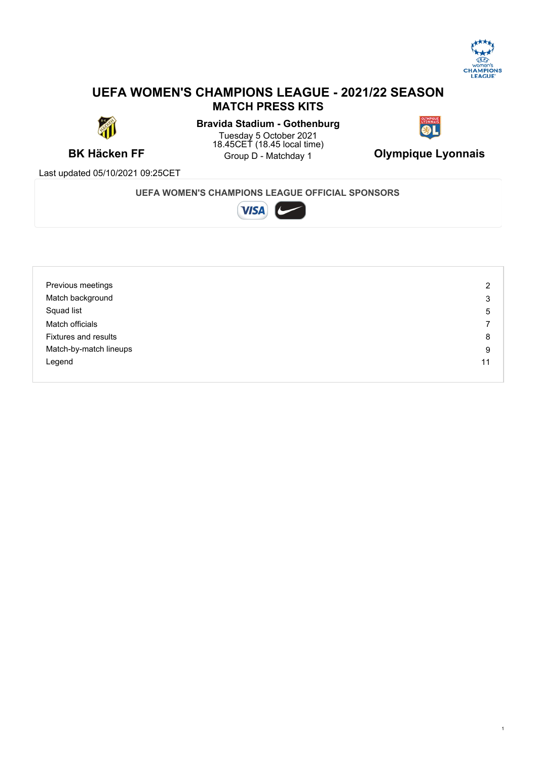

## **UEFA WOMEN'S CHAMPIONS LEAGUE - 2021/22 SEASON MATCH PRESS KITS**



**BK Häcken FF** Group D - Matchday 1 **Olympique Lyonnais Bravida Stadium - Gothenburg** Tuesday 5 October 2021 18.45CET (18.45 local time)



Last updated 05/10/2021 09:25CET

### **UEFA WOMEN'S CHAMPIONS LEAGUE OFFICIAL SPONSORS**



| Previous meetings           | $\overline{2}$ |
|-----------------------------|----------------|
| Match background            | 3              |
| Squad list                  | 5              |
| Match officials             |                |
| <b>Fixtures and results</b> | 8              |
| Match-by-match lineups      | 9              |
| Legend                      | 11             |
|                             |                |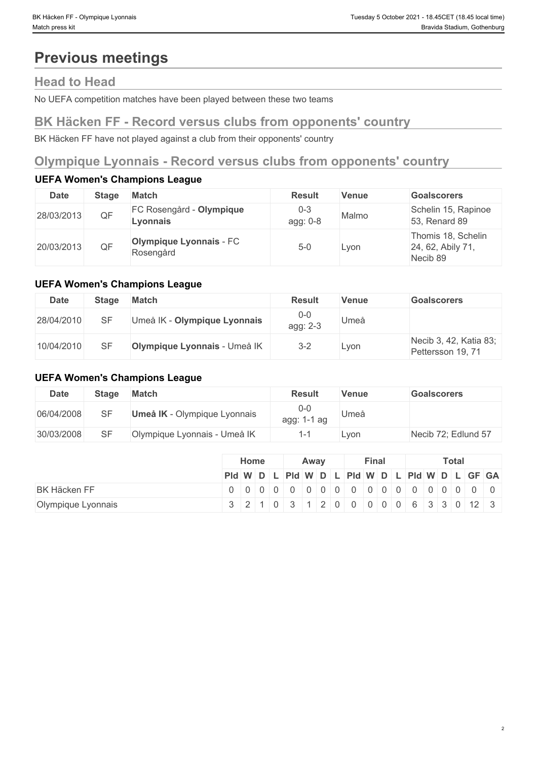# **Previous meetings**

# **Head to Head**

No UEFA competition matches have been played between these two teams

## **BK Häcken FF - Record versus clubs from opponents' country**

BK Häcken FF have not played against a club from their opponents' country

# **Olympique Lyonnais - Record versus clubs from opponents' country**

### **UEFA Women's Champions League**

| Date       | Stage | <b>Match</b>                                | <b>Result</b>       | Venue | <b>Goalscorers</b>                                  |
|------------|-------|---------------------------------------------|---------------------|-------|-----------------------------------------------------|
| 28/03/2013 | QF    | FC Rosengård - Olympique<br>Lvonnais        | $0 - 3$<br>agg: 0-8 | Malmo | Schelin 15, Rapinoe<br>53, Renard 89                |
| 20/03/2013 | QF.   | <b>Olympique Lyonnais - FC</b><br>Rosengård | $5 - C$             | Lyon  | Thomis 18, Schelin<br>24, 62, Abily 71,<br>Necib 89 |

### **UEFA Women's Champions League**

| <b>Date</b> | <b>Stage</b> | <b>Match</b>                 | <b>Result</b>     | <b>Venue</b> | <b>Goalscorers</b>                          |
|-------------|--------------|------------------------------|-------------------|--------------|---------------------------------------------|
| 28/04/2010  |              | Umeå IK - Olympique Lyonnais | $0-0$<br>agg: 2-3 | Jmeå         |                                             |
| 10/04/2010  |              | Olympique Lyonnais - Umeå IK | $3 - 2$           | ∟yon         | Necib 3, 42, Katia 83;<br>Pettersson 19, 71 |

### **UEFA Women's Champions League**

| <b>Date</b> | <b>Stage</b> | <b>Match</b>                        | Result                 | Venue | <b>Goalscorers</b>  |
|-------------|--------------|-------------------------------------|------------------------|-------|---------------------|
| 06/04/2008  | SF           | <b>Umeå IK</b> - Olympique Lyonnais | $0 - 0$<br>agg: 1-1 ag | Umeå  |                     |
| 30/03/2008  | SF           | Olympique Lyonnais - Umeå IK        | $\overline{ }$         | Lyon  | Necib 72; Edlund 57 |

|                     | Home |  | Away                                              |  | Final |  |  | <b>Total</b> |  |  |  |  |  |  |
|---------------------|------|--|---------------------------------------------------|--|-------|--|--|--------------|--|--|--|--|--|--|
|                     |      |  | $ P d W D L P d W D L P d W D L P d W D L GF GA $ |  |       |  |  |              |  |  |  |  |  |  |
| <b>BK Häcken FF</b> |      |  |                                                   |  |       |  |  |              |  |  |  |  |  |  |
| Olympique Lyonnais  |      |  | 3 2 1 0 3 1 2 0 0 0 0 0 0 6 3 3 0 12 3            |  |       |  |  |              |  |  |  |  |  |  |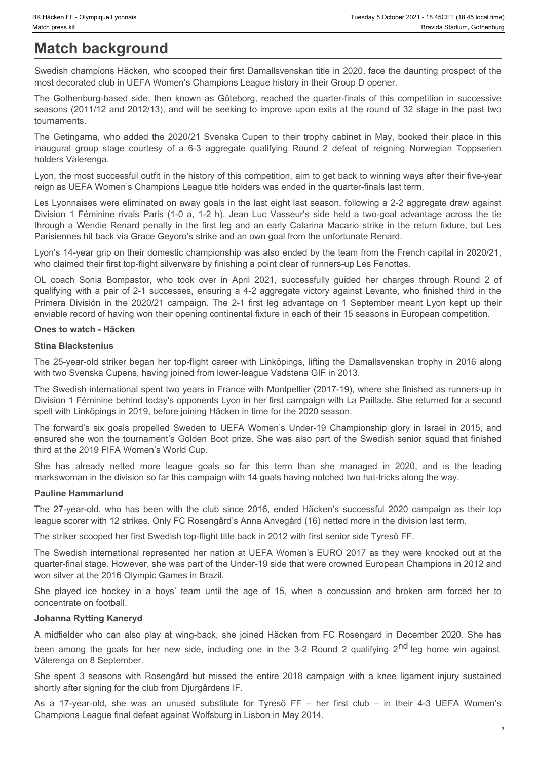# **Match background**

Swedish champions Häcken, who scooped their first Damallsvenskan title in 2020, face the daunting prospect of the most decorated club in UEFA Women's Champions League history in their Group D opener.

The Gothenburg-based side, then known as Göteborg, reached the quarter-finals of this competition in successive seasons (2011/12 and 2012/13), and will be seeking to improve upon exits at the round of 32 stage in the past two tournaments.

The Getingarna, who added the 2020/21 Svenska Cupen to their trophy cabinet in May, booked their place in this holders Vålerenga.

Lyon, the most successful outfit in the history of this competition, aim to get back to winning ways after their five-year reign as UEFA Women's Champions League title holders was ended in the quarter-finals last term.

IVersiden FF - Olympique Lyonnais<br> **Match background**<br>
Swedish champions Häcken, who scooped their first Damallsvenskan title in 2020, face the daunting prospect of the<br>
most decorated club in UEFA Women's Champions League Les Lyonnaises were eliminated on away goals in the last eight last season, following a 2-2 aggregate draw against Thereign Society Controller Computer Lycensia<br> **Match background**<br> **Match background**<br> **Society**<br>
Society and the matter of the Computer Society and the matter of the matter of the during prospect of the<br>
Society and the m through a Wendie Renard penalty in the first leg and an early Catarina Macario strike in the return fixture, but Les Parisiennes hit back via Grace Geyoro's strike and an own goal from the unfortunate Renard. Skitester fi" - Olmouse Lycores<br>
Medical Dack Cyrrole Compassion of The 2-1 first Damallsversekan title in 2020, face the deunting prospect of the<br>
Sive-dist charges the Sonic Dack Women's Champions League history in their It histone FF - Oymous I payes<br>
Marked The Company in The 2020/21 campaign in the 10 campaign in the 2020. See the daunting prospect of the<br>
By edisch in the Cofebourg-based side, then known as Goldeon, reached the guardie Sheek alleady to the state of the state of the first Damstevenstan title in 2020, face the daming propert of the more leading than the first Damstevenstan title in 2020, face the daming term of the state of the leading the Sweetsh clauses tiskent who has a stange the rest for the features that a 2020 came in the club since 2016, and the computed the computed the computed the computed the computed the computed as the computed as the computed hold to the minimal of the minimal of the state in the state of the age of 15, when a concept of the age of the age of the age of the age of the age of the age of the age of the age of the age of the age of the age of the

Lyon's 14-year grip on their domestic championship was also ended by the team from the French capital in 2020/21, who claimed their first top-flight silverware by finishing a point clear of runners-up Les Fenottes.

qualifying with a pair of 2-1 successes, ensuring a 4-2 aggregate victory against Levante, who finished third in the enviable record of having won their opening continental fixture in each of their 15 seasons in European competition. Division 1 Feminine ireals farms for 10.5, 12.1, Joan Lic Vissouris side her is a her open a division of her new side, including on cost to the side properties the side of the side of the Side including one is the side of Patientes fit date: the user campaign with the patient of the university and the spent in the spent in the spent in the spent in the spent in the spent in the entire the patient of the first the spent in the spent in the who callente than the top-lign ten every then the step of the content of the change in the contents. Wo change in the part of the contents of the first club – in their 4-3 decreases, ensuring a 4-2 approach victoring with

### **Ones to watch - Häcken**

### **Stina Blackstenius**

The 25-year-old striker began her top-flight career with Linköpings, lifting the Damallsvenskan trophy in 2016 along with two Svenska Cupens, having joined from lower-league Vadstena GIF in 2013.

The Swedish international spent two years in France with Montpellier (2017-19), where she finished as runners-up in Division 1 Féminine behind today's opponents Lyon in her first campaign with La Paillade. She returned for a second spell with Linköpings in 2019, before joining Häcken in time for the 2020 season.

The forward's six goals propelled Sweden to UEFA Women's Under-19 Championship glory in Israel in 2015, and ensured she won the tournament's Golden Boot prize. She was also part of the Swedish senior squad that finished third at the 2019 FIFA Women's World Cup.

markswoman in the division so far this campaign with 14 goals having notched two hat-tricks along the way.

### **Pauline Hammarlund**

league scorer with 12 strikes. Only FC Rosengård's Anna Anvegård (16) netted more in the division last term.

The striker scooped her first Swedish top-flight title back in 2012 with first senior side Tyresö FF.

The Swedish international represented her nation at UEFA Women's EURO 2017 as they were knocked out at the quarter-final stage. However, she was part of the Under-19 side that were crowned European Champions in 2012 and won silver at the 2016 Olympic Games in Brazil.

concentrate on football.

### **Johanna Rytting Kaneryd**

A midfielder who can also play at wing-back, she joined Häcken from FC Rosengård in December 2020. She has Vålerenga on 8 September.

shortly after signing for the club from Djurgårdens IF.

Champions League final defeat against Wolfsburg in Lisbon in May 2014.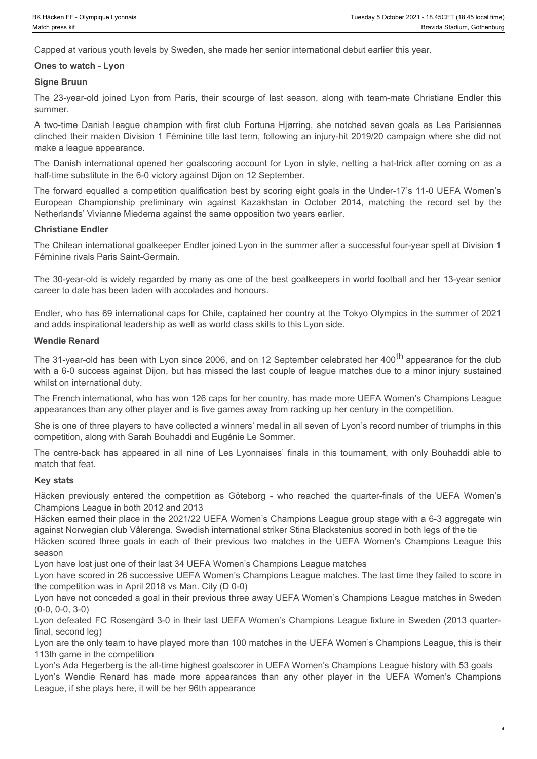Capped at various youth levels by Sweden, she made her senior international debut earlier this year.

### **Ones to watch - Lyon**

### **Signe Bruun**

summer.

Tuesday 5 October 2021 - 18.45 Cert (18.45 local time)<br>
Match press kit<br> **Capped at various youth levels by Sweden, she made her senior international debut earlier this year.**<br> **Christian Capped at various youth levels by** Societive EF-Olympique Lyonnais<br>
A two-times and<br>
A two-times Section March Danish league champion Societies by Sweden, she made her senior international debut earlier this year.<br> **Capped at various youth levels by Sweden** clinched their maiden Division 1 Féminine title last term, following an injury-hit 2019/20 campaign where she did not make a league appearance. European Championship provides and the set of the best goals and horizons of the set of the set of the set of the set of the set of the set of the set of the set of the record of the record of the record of the record of t The centre-back has appeared in all nine of Les Lyonnaises' first simulate and the centre-back has a statistical of the centre-back has a proportion of Christian and the centre-back of Christian and the centre-back back of Ones to watch - Lyon<br>
Signe Bruun of participan from Paris, their scourge of last season, abong with team-matie Christiane Ender this<br>
aumention as a by-season Division of the finite club Fortuna Highring, aho notiched sev summer.<br>
Summarism three goals are contributed in the control of the matches in the control of the score of the matches in<br>Calibration scores three goals in the control of the score of the UEFA of the UEFA Model of the mat

The Danish international opened her goalscoring account for Lyon in style, netting a hat-trick after coming on as a half-time substitute in the 6-0 victory against Dijon on 12 September.

The forward equalled a competition qualification best by scoring eight goals in the Under-17's 11-0 UEFA Women's Netherlands' Vivianne Miedema against the same opposition two years earlier.

### **Christiane Endler**

The Chilean international goalkeeper Endler joined Lyon in the summer after a successful four-year spell at Division 1 Féminine rivals Paris Saint-Germain.

The 30-year-old is widely regarded by many as one of the best goalkeepers in world football and her 13-year senior career to date has been laden with accolades and honours.

Endler, who has 69 international caps for Chile, captained her country at the Tokyo Olympics in the summer of 2021 and adds inspirational leadership as well as world class skills to this Lyon side.

### **Wendie Renard**

The 31-year-old has been with Lyon since 2006, and on 12 September celebrated her 400<sup>th</sup> appearance for the club with a 6-0 success against Dijon, but has missed the last couple of league matches due to a minor injury sustained whilst on international duty. The Chiesen tremendonal goaliseper Endler yones Lyon in the summer after a successful four-year speel at Division 1<br>The 30-year-old is widely regarded by many as one of the best positespeel in world footsall and her 13-yea

The French international, who has won 126 caps for her country, has made more UEFA Women's Champions League appearances than any other player and is five games away from racking up her century in the competition.

She is one of three players to have collected a winners' medal in all seven of Lyon's record number of triumphs in this competition, along with Sarah Bouhaddi and Eugénie Le Sommer.

match that feat.

### **Key stats**

Champions League in both 2012 and 2013

Häcken earned their place in the 2021/22 UEFA Women's Champions League group stage with a 6-3 aggregate win against Norwegian club Vålerenga. Swedish international striker Stina Blackstenius scored in both legs of the tie

season **season** and the season of the season of the season of the season of the season of the season of the season

Lyon have lost just one of their last 34 UEFA Women's Champions League matches

Lyon have scored in 26 successive UEFA Women's Champions League matches. The last time they failed to score in the competition was in April 2018 vs Man. City (D 0-0)

Lyon have not conceded a goal in their previous three away UEFA Women's Champions League matches in Sweden (0-0, 0-0, 3-0)

Lyon defeated FC Rosengård 3-0 in their last UEFA Women's Champions League fixture in Sweden (2013 quarterfinal, second leg)

Lyon are the only team to have played more than 100 matches in the UEFA Women's Champions League, this is their 113th game in the competition

Lyon's Ada Hegerberg is the all-time highest goalscorer in UEFA Women's Champions League history with 53 goals League, if she plays here, it will be her 96th appearance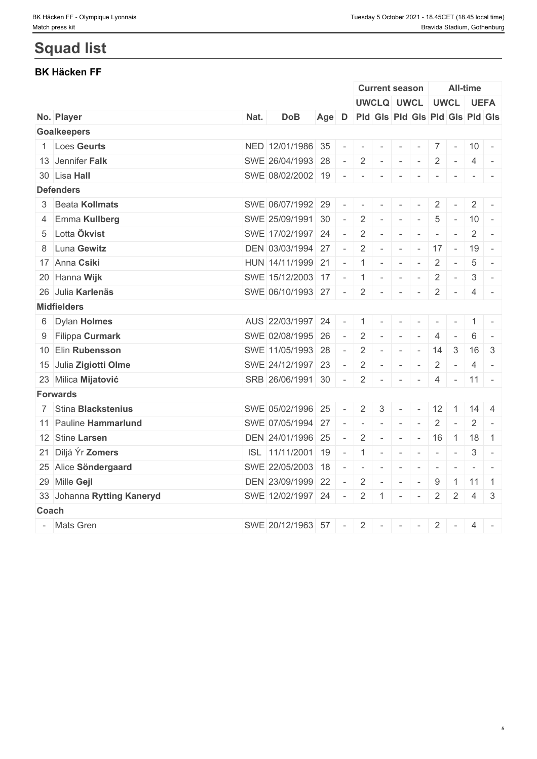# **Squad list**

## **BK Häcken FF**

| UWCLQ UWCL UWCL UEFA<br>Age D Pid Gis Pid Gis Pid Gis Pid Gis<br>Nat.<br><b>DoB</b><br><b>Goalkeepers</b><br>NED 12/01/1986 35<br>1 Loes Geurts<br>$\sim$<br>$\overline{\phantom{a}}$<br>$\overline{\phantom{a}}$<br>13 Jennifer Falk<br>SWE 26/04/1993 28<br>$2$ -<br>$\overline{2}$<br>$\sim$<br>$\sim$<br>$\sim$<br>30 Lisa Hall<br>SWE 08/02/2002 19 - - - - - - - - - - - -<br><b>Defenders</b><br>3 Beata Kollmats<br>SWE 06/07/1992 29<br>$\overline{2}$<br>$ -$<br>$\sim$<br>4 Emma Kullberg<br>SWE 25/09/1991 30<br>2<br>5<br>$\sim$ $-$<br>$\sim$<br>5 Lotta Ökvist<br>SWE 17/02/1997 24<br>$\overline{2}$<br>$\sim$<br>$\sim$<br>$\sim$<br>8 Luna Gewitz<br>DEN 03/03/1994 27<br>2<br>$\sim$ $ \sim$ $\sim$<br>$\sim$ $-$<br>$\sim$<br>$\sim$<br>17 Anna Csiki<br>HUN 14/11/1999 21<br>$-1$ $-$<br>$\overline{2}$<br>$\sim$<br>$\sim$<br>20 Hanna Wijk<br>SWE 15/12/2003 17 - 1 -<br>$\overline{2}$<br>$\sim$<br>26 Julia Karlenäs<br>SWE 06/10/1993 27 - 2 -<br>$\mathbb{R}$<br>AUS 22/03/1997 24<br>6 Dylan Holmes<br>$-1$<br>$\overline{\phantom{a}}$<br>SWE 02/08/1995 26<br>$- 2$<br>9 Filippa Curmark<br>4<br>$\sim$<br>$ \,$<br>SWE 11/05/1993 28<br>10 Elin Rubensson<br>$\overline{2}$<br>14<br>$\sim$ $-$<br>$\sim$<br>$\sim$<br>15 Julia Zigiotti Olme<br>SWE 24/12/1997 23<br>$2$ -<br>$\overline{2}$<br>$\sim$<br>$\sim$<br>$\sim$<br>$SRB$ 26/06/1991 30 - 2 -<br>23 Milica Mijatović<br>4<br>$\mathbf{r}$ and $\mathbf{r}$<br>$\sim$<br><b>Forwards</b><br>7 Stina Blackstenius<br>SWE 05/02/1996 25<br>2 <sup>1</sup><br>$\mathbf{3}$<br>$\sim$<br>$\sim$<br>$\sim$<br>SWE 07/05/1994 27<br>11 Pauline Hammarlund<br>$\overline{2}$<br>$\sim$<br>$\equiv$<br>$\sim$<br>DEN 24/01/1996 25<br>12 Stine Larsen<br>$\overline{2}$<br>16<br>$\sim$ $-$<br>$\sim$<br>$\sim$<br>$\sim$<br>21 Diljá Ýr Zomers<br>ISL 11/11/2001 19<br>$-1$<br>$\sim$<br>$\sim$<br>$\equiv$<br>25 Alice Söndergaard<br>SWE 22/05/2003 18<br>$\equiv$<br>$\sim$<br>$\sim$<br>$\sim$<br>$\sim$<br>$\sim$<br>29 Mille Gejl<br>DEN 23/09/1999 22<br>$\overline{2}$<br>9<br>$\sim$<br>$\sim$<br>$\sim$<br>$\sim$<br>33 Johanna Rytting Kaneryd<br>SWE 12/02/1997 24<br>$\overline{2}$<br>$\overline{2}$<br>$\sim$<br>$\mathbf{1}$<br>$\sim$<br>$\sim$<br>Coach |              | <b>Current season</b> |                          | <b>All-time</b> |                                                                                                              |
|-------------------------------------------------------------------------------------------------------------------------------------------------------------------------------------------------------------------------------------------------------------------------------------------------------------------------------------------------------------------------------------------------------------------------------------------------------------------------------------------------------------------------------------------------------------------------------------------------------------------------------------------------------------------------------------------------------------------------------------------------------------------------------------------------------------------------------------------------------------------------------------------------------------------------------------------------------------------------------------------------------------------------------------------------------------------------------------------------------------------------------------------------------------------------------------------------------------------------------------------------------------------------------------------------------------------------------------------------------------------------------------------------------------------------------------------------------------------------------------------------------------------------------------------------------------------------------------------------------------------------------------------------------------------------------------------------------------------------------------------------------------------------------------------------------------------------------------------------------------------------------------------------------------------------------------------------------------------------------------------------------------------------------------------------------------------------------------------------------------------------------------------------------------------------------------------------------------------------------------------------------------|--------------|-----------------------|--------------------------|-----------------|--------------------------------------------------------------------------------------------------------------|
| No. Player<br><b>Midfielders</b>                                                                                                                                                                                                                                                                                                                                                                                                                                                                                                                                                                                                                                                                                                                                                                                                                                                                                                                                                                                                                                                                                                                                                                                                                                                                                                                                                                                                                                                                                                                                                                                                                                                                                                                                                                                                                                                                                                                                                                                                                                                                                                                                                                                                                            |              |                       |                          |                 |                                                                                                              |
|                                                                                                                                                                                                                                                                                                                                                                                                                                                                                                                                                                                                                                                                                                                                                                                                                                                                                                                                                                                                                                                                                                                                                                                                                                                                                                                                                                                                                                                                                                                                                                                                                                                                                                                                                                                                                                                                                                                                                                                                                                                                                                                                                                                                                                                             |              |                       |                          |                 |                                                                                                              |
|                                                                                                                                                                                                                                                                                                                                                                                                                                                                                                                                                                                                                                                                                                                                                                                                                                                                                                                                                                                                                                                                                                                                                                                                                                                                                                                                                                                                                                                                                                                                                                                                                                                                                                                                                                                                                                                                                                                                                                                                                                                                                                                                                                                                                                                             |              |                       |                          |                 |                                                                                                              |
|                                                                                                                                                                                                                                                                                                                                                                                                                                                                                                                                                                                                                                                                                                                                                                                                                                                                                                                                                                                                                                                                                                                                                                                                                                                                                                                                                                                                                                                                                                                                                                                                                                                                                                                                                                                                                                                                                                                                                                                                                                                                                                                                                                                                                                                             |              |                       | $\sim$                   |                 | $10 -$                                                                                                       |
|                                                                                                                                                                                                                                                                                                                                                                                                                                                                                                                                                                                                                                                                                                                                                                                                                                                                                                                                                                                                                                                                                                                                                                                                                                                                                                                                                                                                                                                                                                                                                                                                                                                                                                                                                                                                                                                                                                                                                                                                                                                                                                                                                                                                                                                             |              |                       | $\sim$                   | 4               |                                                                                                              |
|                                                                                                                                                                                                                                                                                                                                                                                                                                                                                                                                                                                                                                                                                                                                                                                                                                                                                                                                                                                                                                                                                                                                                                                                                                                                                                                                                                                                                                                                                                                                                                                                                                                                                                                                                                                                                                                                                                                                                                                                                                                                                                                                                                                                                                                             |              |                       |                          |                 |                                                                                                              |
|                                                                                                                                                                                                                                                                                                                                                                                                                                                                                                                                                                                                                                                                                                                                                                                                                                                                                                                                                                                                                                                                                                                                                                                                                                                                                                                                                                                                                                                                                                                                                                                                                                                                                                                                                                                                                                                                                                                                                                                                                                                                                                                                                                                                                                                             |              |                       |                          |                 |                                                                                                              |
|                                                                                                                                                                                                                                                                                                                                                                                                                                                                                                                                                                                                                                                                                                                                                                                                                                                                                                                                                                                                                                                                                                                                                                                                                                                                                                                                                                                                                                                                                                                                                                                                                                                                                                                                                                                                                                                                                                                                                                                                                                                                                                                                                                                                                                                             |              |                       | $\sim$                   |                 | $2 \mid$<br>$\sim$                                                                                           |
|                                                                                                                                                                                                                                                                                                                                                                                                                                                                                                                                                                                                                                                                                                                                                                                                                                                                                                                                                                                                                                                                                                                                                                                                                                                                                                                                                                                                                                                                                                                                                                                                                                                                                                                                                                                                                                                                                                                                                                                                                                                                                                                                                                                                                                                             |              |                       | $\sim$                   |                 | $10 -$                                                                                                       |
|                                                                                                                                                                                                                                                                                                                                                                                                                                                                                                                                                                                                                                                                                                                                                                                                                                                                                                                                                                                                                                                                                                                                                                                                                                                                                                                                                                                                                                                                                                                                                                                                                                                                                                                                                                                                                                                                                                                                                                                                                                                                                                                                                                                                                                                             |              |                       | $\overline{\phantom{a}}$ | 2               | $\overline{\phantom{a}}$                                                                                     |
|                                                                                                                                                                                                                                                                                                                                                                                                                                                                                                                                                                                                                                                                                                                                                                                                                                                                                                                                                                                                                                                                                                                                                                                                                                                                                                                                                                                                                                                                                                                                                                                                                                                                                                                                                                                                                                                                                                                                                                                                                                                                                                                                                                                                                                                             | $17 -$       |                       |                          | 19              | $\sim$                                                                                                       |
|                                                                                                                                                                                                                                                                                                                                                                                                                                                                                                                                                                                                                                                                                                                                                                                                                                                                                                                                                                                                                                                                                                                                                                                                                                                                                                                                                                                                                                                                                                                                                                                                                                                                                                                                                                                                                                                                                                                                                                                                                                                                                                                                                                                                                                                             |              |                       | $\sim$                   | 5               | $\sim$                                                                                                       |
|                                                                                                                                                                                                                                                                                                                                                                                                                                                                                                                                                                                                                                                                                                                                                                                                                                                                                                                                                                                                                                                                                                                                                                                                                                                                                                                                                                                                                                                                                                                                                                                                                                                                                                                                                                                                                                                                                                                                                                                                                                                                                                                                                                                                                                                             |              |                       | $\sim$ $-$               | 3               | $\sim$                                                                                                       |
|                                                                                                                                                                                                                                                                                                                                                                                                                                                                                                                                                                                                                                                                                                                                                                                                                                                                                                                                                                                                                                                                                                                                                                                                                                                                                                                                                                                                                                                                                                                                                                                                                                                                                                                                                                                                                                                                                                                                                                                                                                                                                                                                                                                                                                                             |              |                       | $2$ -                    |                 | $4 -$                                                                                                        |
|                                                                                                                                                                                                                                                                                                                                                                                                                                                                                                                                                                                                                                                                                                                                                                                                                                                                                                                                                                                                                                                                                                                                                                                                                                                                                                                                                                                                                                                                                                                                                                                                                                                                                                                                                                                                                                                                                                                                                                                                                                                                                                                                                                                                                                                             |              |                       |                          |                 |                                                                                                              |
|                                                                                                                                                                                                                                                                                                                                                                                                                                                                                                                                                                                                                                                                                                                                                                                                                                                                                                                                                                                                                                                                                                                                                                                                                                                                                                                                                                                                                                                                                                                                                                                                                                                                                                                                                                                                                                                                                                                                                                                                                                                                                                                                                                                                                                                             |              |                       |                          |                 |                                                                                                              |
|                                                                                                                                                                                                                                                                                                                                                                                                                                                                                                                                                                                                                                                                                                                                                                                                                                                                                                                                                                                                                                                                                                                                                                                                                                                                                                                                                                                                                                                                                                                                                                                                                                                                                                                                                                                                                                                                                                                                                                                                                                                                                                                                                                                                                                                             |              |                       | $\sim$                   | 6               | $\overline{\phantom{a}}$                                                                                     |
|                                                                                                                                                                                                                                                                                                                                                                                                                                                                                                                                                                                                                                                                                                                                                                                                                                                                                                                                                                                                                                                                                                                                                                                                                                                                                                                                                                                                                                                                                                                                                                                                                                                                                                                                                                                                                                                                                                                                                                                                                                                                                                                                                                                                                                                             |              |                       | 3                        | 16              | -3                                                                                                           |
|                                                                                                                                                                                                                                                                                                                                                                                                                                                                                                                                                                                                                                                                                                                                                                                                                                                                                                                                                                                                                                                                                                                                                                                                                                                                                                                                                                                                                                                                                                                                                                                                                                                                                                                                                                                                                                                                                                                                                                                                                                                                                                                                                                                                                                                             |              |                       | $\sim$                   | 4               | $\sim$                                                                                                       |
|                                                                                                                                                                                                                                                                                                                                                                                                                                                                                                                                                                                                                                                                                                                                                                                                                                                                                                                                                                                                                                                                                                                                                                                                                                                                                                                                                                                                                                                                                                                                                                                                                                                                                                                                                                                                                                                                                                                                                                                                                                                                                                                                                                                                                                                             |              |                       | $\vert -11 \vert -$      |                 |                                                                                                              |
|                                                                                                                                                                                                                                                                                                                                                                                                                                                                                                                                                                                                                                                                                                                                                                                                                                                                                                                                                                                                                                                                                                                                                                                                                                                                                                                                                                                                                                                                                                                                                                                                                                                                                                                                                                                                                                                                                                                                                                                                                                                                                                                                                                                                                                                             |              |                       |                          |                 |                                                                                                              |
|                                                                                                                                                                                                                                                                                                                                                                                                                                                                                                                                                                                                                                                                                                                                                                                                                                                                                                                                                                                                                                                                                                                                                                                                                                                                                                                                                                                                                                                                                                                                                                                                                                                                                                                                                                                                                                                                                                                                                                                                                                                                                                                                                                                                                                                             | $12 \quad 1$ |                       |                          |                 | $14 \quad 4$                                                                                                 |
|                                                                                                                                                                                                                                                                                                                                                                                                                                                                                                                                                                                                                                                                                                                                                                                                                                                                                                                                                                                                                                                                                                                                                                                                                                                                                                                                                                                                                                                                                                                                                                                                                                                                                                                                                                                                                                                                                                                                                                                                                                                                                                                                                                                                                                                             |              |                       | $\overline{\phantom{a}}$ | 2               |                                                                                                              |
|                                                                                                                                                                                                                                                                                                                                                                                                                                                                                                                                                                                                                                                                                                                                                                                                                                                                                                                                                                                                                                                                                                                                                                                                                                                                                                                                                                                                                                                                                                                                                                                                                                                                                                                                                                                                                                                                                                                                                                                                                                                                                                                                                                                                                                                             |              |                       |                          |                 | $1$ 18 1                                                                                                     |
|                                                                                                                                                                                                                                                                                                                                                                                                                                                                                                                                                                                                                                                                                                                                                                                                                                                                                                                                                                                                                                                                                                                                                                                                                                                                                                                                                                                                                                                                                                                                                                                                                                                                                                                                                                                                                                                                                                                                                                                                                                                                                                                                                                                                                                                             |              |                       | $\overline{\phantom{a}}$ | 3               | $\overline{\phantom{a}}$                                                                                     |
|                                                                                                                                                                                                                                                                                                                                                                                                                                                                                                                                                                                                                                                                                                                                                                                                                                                                                                                                                                                                                                                                                                                                                                                                                                                                                                                                                                                                                                                                                                                                                                                                                                                                                                                                                                                                                                                                                                                                                                                                                                                                                                                                                                                                                                                             |              |                       | $\sim$                   |                 | $\frac{1}{2} \left( \frac{1}{2} \right) \left( \frac{1}{2} \right) = \frac{1}{2} \left( \frac{1}{2} \right)$ |
|                                                                                                                                                                                                                                                                                                                                                                                                                                                                                                                                                                                                                                                                                                                                                                                                                                                                                                                                                                                                                                                                                                                                                                                                                                                                                                                                                                                                                                                                                                                                                                                                                                                                                                                                                                                                                                                                                                                                                                                                                                                                                                                                                                                                                                                             |              |                       | $\overline{1}$           |                 | 1111                                                                                                         |
|                                                                                                                                                                                                                                                                                                                                                                                                                                                                                                                                                                                                                                                                                                                                                                                                                                                                                                                                                                                                                                                                                                                                                                                                                                                                                                                                                                                                                                                                                                                                                                                                                                                                                                                                                                                                                                                                                                                                                                                                                                                                                                                                                                                                                                                             |              |                       | $\overline{2}$           |                 | -3<br>$\overline{4}$                                                                                         |
|                                                                                                                                                                                                                                                                                                                                                                                                                                                                                                                                                                                                                                                                                                                                                                                                                                                                                                                                                                                                                                                                                                                                                                                                                                                                                                                                                                                                                                                                                                                                                                                                                                                                                                                                                                                                                                                                                                                                                                                                                                                                                                                                                                                                                                                             |              |                       |                          |                 |                                                                                                              |
| - Mats Gren<br>SWE 20/12/1963 57<br>2<br>$\overline{2}$<br>$\sim$ $-$<br>$\sim$<br>$\sim$<br>$\sim$                                                                                                                                                                                                                                                                                                                                                                                                                                                                                                                                                                                                                                                                                                                                                                                                                                                                                                                                                                                                                                                                                                                                                                                                                                                                                                                                                                                                                                                                                                                                                                                                                                                                                                                                                                                                                                                                                                                                                                                                                                                                                                                                                         |              |                       | $\sim$                   |                 | $4$ -                                                                                                        |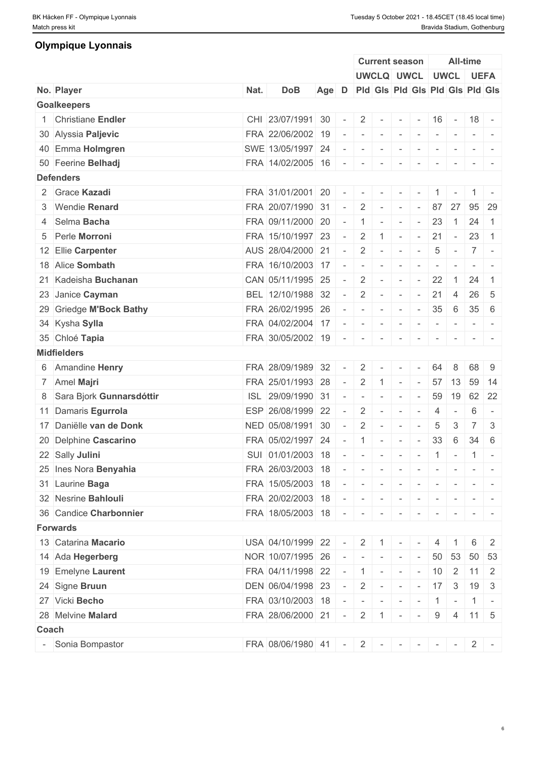### **Olympique Lyonnais**

|       |                            |      |                                           |                                       |                          |                                                                                                                                               | <b>Current season</b> |                          |                          |                          | <b>All-time</b> |                                                                                                             |                                                                                   |
|-------|----------------------------|------|-------------------------------------------|---------------------------------------|--------------------------|-----------------------------------------------------------------------------------------------------------------------------------------------|-----------------------|--------------------------|--------------------------|--------------------------|-----------------|-------------------------------------------------------------------------------------------------------------|-----------------------------------------------------------------------------------|
|       |                            |      |                                           |                                       |                          |                                                                                                                                               |                       |                          | UWCLQ UWCL UWCL UEFA     |                          |                 |                                                                                                             |                                                                                   |
|       | No. Player                 | Nat. | <b>DoB</b>                                | Age D Pld Gis Pld Gis Pld Gis Pld Gis |                          |                                                                                                                                               |                       |                          |                          |                          |                 |                                                                                                             |                                                                                   |
|       | <b>Goalkeepers</b>         |      |                                           |                                       |                          |                                                                                                                                               |                       |                          |                          |                          |                 |                                                                                                             |                                                                                   |
|       | 1 Christiane Endler        |      | CHI 23/07/1991 30                         |                                       | $\sim$                   |                                                                                                                                               |                       |                          | $2$ - - - 16 - 18 -      |                          |                 |                                                                                                             |                                                                                   |
|       | 30 Alyssia Paljevic        |      | FRA 22/06/2002                            | 19                                    |                          | $\sim$                                                                                                                                        | $\sim$                | $\sim$                   | $\sim$                   | $\sim$                   | $\sim$          |                                                                                                             |                                                                                   |
|       | 40 Emma Holmgren           |      | SWE 13/05/1997 24                         |                                       | $\sim$                   | $\sim$                                                                                                                                        | $\sim$                | $\overline{\phantom{a}}$ | $\sim$                   | $\overline{\phantom{a}}$ |                 |                                                                                                             |                                                                                   |
|       | 50 Feerine Belhadj         |      | FRA 14/02/2005 16 - - - -                 |                                       |                          |                                                                                                                                               |                       |                          | $\sim$                   | $\sim$                   | $\sim$          | $ -$                                                                                                        |                                                                                   |
|       | <b>Defenders</b>           |      |                                           |                                       |                          |                                                                                                                                               |                       |                          |                          |                          |                 |                                                                                                             |                                                                                   |
|       | 2 Grace Kazadi             |      | FRA 31/01/2001 20                         |                                       | $\sim$                   |                                                                                                                                               | $\sim$                | $\sim$                   |                          |                          |                 |                                                                                                             |                                                                                   |
|       | 3 Wendie Renard            |      | FRA 20/07/1990 31                         |                                       | $\sim$                   |                                                                                                                                               | $2$ -                 | $\sim$                   | $\sim$                   | 87                       | 27              | 95 29                                                                                                       |                                                                                   |
|       | 4 Selma Bacha              |      | FRA 09/11/2000 20                         |                                       | $\sim$                   |                                                                                                                                               | $1$ $-$               | $\mathbb{R}$             | $\sim$ $-$               | 23                       | $\overline{1}$  | 24                                                                                                          | $\overline{1}$                                                                    |
|       | 5 Perle Morroni            |      | FRA 15/10/1997 23                         |                                       | $\sim$                   | $\overline{2}$                                                                                                                                | $\vert$ 1             | $\sim$                   | $\mathbf{r}$             | 21                       | $\sim$          | 23                                                                                                          | $\overline{1}$                                                                    |
|       | 12 Ellie Carpenter         |      | AUS 28/04/2000 21                         |                                       | $\sim$                   |                                                                                                                                               | $2$ -                 | $\sim$                   | $\overline{\phantom{a}}$ | 5                        | $\sim$ $-$      | $7^{\circ}$                                                                                                 | $\overline{\phantom{a}}$                                                          |
|       | 18 Alice Sombath           |      | FRA 16/10/2003 17                         |                                       | $\sim$                   | .                                                                                                                                             |                       |                          |                          | $\sim$                   | $\sim$          |                                                                                                             | $\mathcal{L} = \{ \mathcal{L} \mid \mathcal{L} = \mathcal{L} \}$                  |
|       | 21 Kadeisha Buchanan       |      | CAN 05/11/1995 25                         |                                       | $\sim$                   |                                                                                                                                               | $2$ -                 | $\sim$                   | $\sim$                   | 22                       | $\overline{1}$  | 24                                                                                                          | $\overline{1}$                                                                    |
|       | 23 Janice Cayman           |      | BEL 12/10/1988 32                         |                                       | $\sim$                   | $2^{\circ}$                                                                                                                                   | $\sim$                | $\sim$                   | $\sim$                   | 21                       | $\overline{4}$  | $26 \quad 5$                                                                                                |                                                                                   |
|       | 29 Griedge M'Bock Bathy    |      | FRA 26/02/1995 26                         |                                       | $\sim$                   | $\frac{1}{2}$ , $\frac{1}{2}$ , $\frac{1}{2}$ , $\frac{1}{2}$ , $\frac{1}{2}$ , $\frac{1}{2}$ , $\frac{1}{2}$ , $\frac{1}{2}$ , $\frac{1}{2}$ |                       |                          |                          | $35 \quad 6$             |                 | $35 \quad 6$                                                                                                |                                                                                   |
|       | 34 Kysha Sylla             |      | FRA 04/02/2004 17                         |                                       | $\sim$                   | $\sim$                                                                                                                                        | $\sim$ $-$            | $\sim$                   | $\sim$                   | $\overline{\phantom{a}}$ | $\sim$          |                                                                                                             | $\frac{1}{2} \left( \frac{1}{2} \right) \left( \frac{1}{2} \right) = \frac{1}{2}$ |
|       | 35 Chloé Tapia             |      | FRA 30/05/2002 19                         |                                       | $\sim$                   | $\sim$                                                                                                                                        | $\sim$                | $\overline{\phantom{a}}$ |                          |                          |                 |                                                                                                             |                                                                                   |
|       | <b>Midfielders</b>         |      |                                           |                                       |                          |                                                                                                                                               |                       |                          |                          |                          |                 |                                                                                                             |                                                                                   |
|       |                            |      | FRA 28/09/1989 32                         |                                       | $\overline{\phantom{a}}$ |                                                                                                                                               |                       |                          |                          | 64                       | 8               | 68                                                                                                          | -9                                                                                |
|       | 6 Amandine Henry           |      |                                           |                                       |                          |                                                                                                                                               | $2$ -                 | $\sim$                   | $\sim$                   |                          |                 |                                                                                                             |                                                                                   |
|       | 7 Amel Majri               |      | FRA 25/01/1993 28                         |                                       | $\sim$                   | $2 \mid$                                                                                                                                      | $\overline{1}$        | $\sim$                   | $\sim$                   | 57                       | 13              | 59 14                                                                                                       |                                                                                   |
|       | 8 Sara Bjork Gunnarsdóttir |      | ISL 29/09/1990 31                         |                                       | $\sim$                   | $\sim$                                                                                                                                        | $\sim$                | $\sim$                   | $\overline{\phantom{a}}$ | 59                       | 19              |                                                                                                             | 62 22                                                                             |
|       | 11 Damaris Egurrola        |      | ESP 26/08/1999 22                         |                                       | $\overline{\phantom{a}}$ |                                                                                                                                               | $2$ -                 | $\sim$                   | $\sim$                   | 4                        | $\sim$          | 6                                                                                                           | $\sim$                                                                            |
|       | 17 Daniëlle van de Donk    |      | NED 05/08/1991 30                         |                                       | $\sim$                   | $\overline{2}$                                                                                                                                | $\sim$                | $\overline{\phantom{a}}$ | $\sim$                   | $\overline{5}$           | 3               | $\overline{7}$                                                                                              | 3                                                                                 |
|       | 20 Delphine Cascarino      |      | FRA 05/02/1997 24                         |                                       | $\sim$                   | 1 <sup>1</sup>                                                                                                                                | $\sim$                | $\sim$                   | $\sim$                   | 33                       | 6               | 34                                                                                                          | 6                                                                                 |
|       | 22 Sally Julini            |      | SUI 01/01/2003 18                         |                                       | $\overline{\phantom{a}}$ |                                                                                                                                               | $    -$               |                          | $\sim$                   | $1$ -                    |                 |                                                                                                             | $1$ -                                                                             |
|       | 25 Ines Nora Benyahia      |      | FRA 26/03/2003 18                         |                                       | $\sim$                   | $1 - 1 - 1 - 1 - 1$                                                                                                                           |                       |                          | $\sim$ $-$               | $\sim$                   |                 |                                                                                                             |                                                                                   |
|       | 31 Laurine Baga            |      | FRA 15/05/2003 18                         |                                       |                          | $\mathcal{A}=\{1,2,3,4,5,6,6\}$                                                                                                               |                       | $\sim$                   | $\sim$                   |                          |                 |                                                                                                             |                                                                                   |
|       | 32 Nesrine Bahlouli        |      | FRA 20/02/2003 18 - - - - - - - - -       |                                       |                          |                                                                                                                                               |                       |                          |                          |                          |                 | $\begin{array}{cccccccccc} \bullet & \bullet & \bullet & \bullet & \bullet & \bullet & \bullet \end{array}$ |                                                                                   |
|       | 36 Candice Charbonnier     |      | FRA 18/05/2003 18 - - - -                 |                                       |                          |                                                                                                                                               |                       |                          | $\sim$                   | $\sim$                   |                 |                                                                                                             |                                                                                   |
|       | <b>Forwards</b>            |      |                                           |                                       |                          |                                                                                                                                               |                       |                          |                          |                          |                 |                                                                                                             |                                                                                   |
|       | 13 Catarina Macario        |      | USA 04/10/1999 22 - 2 1 -                 |                                       |                          |                                                                                                                                               |                       |                          |                          | $\overline{4}$           |                 |                                                                                                             | 2                                                                                 |
|       | 14 Ada Hegerberg           |      | NOR 10/07/1995 26                         |                                       |                          | $\vert - \vert - \vert - \vert - \vert - \vert 50 \vert 53 \vert 50 \vert 53$                                                                 |                       |                          |                          |                          |                 |                                                                                                             |                                                                                   |
|       | 19 Emelyne Laurent         |      | FRA 04/11/1998 22 - 1 - - - 10 2 11 2     |                                       |                          |                                                                                                                                               |                       |                          |                          |                          |                 |                                                                                                             |                                                                                   |
|       | 24 Signe Bruun             |      | DEN 06/04/1998 23 - 2 - - - 17 3          |                                       |                          |                                                                                                                                               |                       |                          |                          |                          |                 | $19 \mid 3$                                                                                                 |                                                                                   |
|       | 27 Vicki Becho             |      | FRA 03/10/2003 18 - - - - - - - 1 - 1 - 1 |                                       |                          |                                                                                                                                               |                       |                          |                          |                          |                 |                                                                                                             |                                                                                   |
|       | 28 Melvine Malard          |      | FRA 28/06/2000 21 - 2 1 - -               |                                       |                          |                                                                                                                                               |                       |                          |                          |                          |                 | $9 \mid 4 \mid 11 \mid 5$                                                                                   |                                                                                   |
| Coach |                            |      |                                           |                                       |                          |                                                                                                                                               |                       |                          |                          |                          |                 |                                                                                                             |                                                                                   |
|       | - Sonia Bompastor          |      | FRA 08/06/1980 41 - 2 - - - - - 2 -       |                                       |                          |                                                                                                                                               |                       |                          |                          |                          |                 |                                                                                                             |                                                                                   |
|       |                            |      |                                           |                                       |                          |                                                                                                                                               |                       |                          |                          |                          |                 |                                                                                                             |                                                                                   |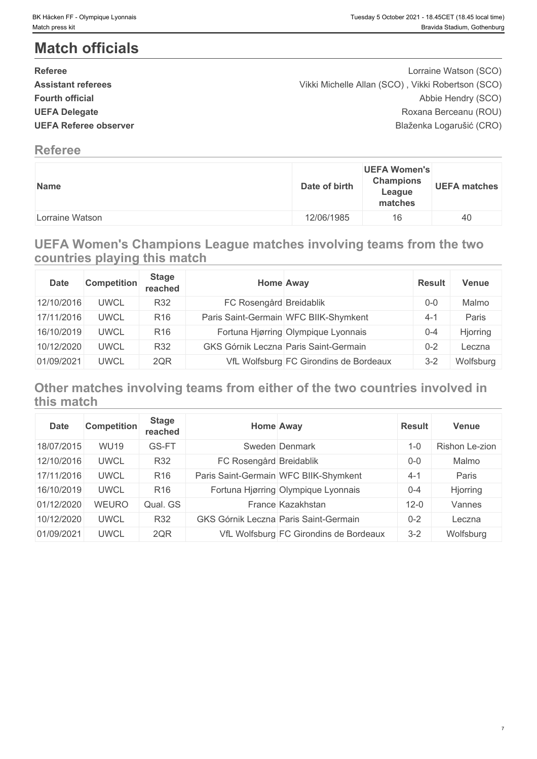# **Match officials**

| <b>Referee</b>               | Lorraine Watson (SCO)                             |  |
|------------------------------|---------------------------------------------------|--|
| <b>Assistant referees</b>    | Vikki Michelle Allan (SCO), Vikki Robertson (SCO) |  |
| <b>Fourth official</b>       | Abbie Hendry (SCO)                                |  |
| <b>UEFA Delegate</b>         | Roxana Berceanu (ROU)                             |  |
| <b>UEFA Referee observer</b> | Blaženka Logarušić (CRO)                          |  |
|                              |                                                   |  |

## **Referee**

| Name            | <b>UEFA Women's</b><br><b>Champions</b><br><b>UEFA matches</b><br>Date of birth<br>League<br>matches |
|-----------------|------------------------------------------------------------------------------------------------------|
| Lorraine Watson | 12/06/1985<br>16                                                                                     |

## **UEFA Women's Champions League matches involving teams from the two countries playing this match**

| <b>Date</b> | <b>Competition</b> | <b>Stage</b><br>reached | <b>Home Away</b>        |                                        | <b>Result</b> | Venue     |
|-------------|--------------------|-------------------------|-------------------------|----------------------------------------|---------------|-----------|
| 12/10/2016  | <b>UWCL</b>        | R32                     | FC Rosengård Breidablik |                                        | $0-0$         | Malmo     |
| 17/11/2016  | <b>UWCL</b>        | R <sub>16</sub>         |                         | Paris Saint-Germain WFC BIIK-Shymkent  | $4 - 7$       | Paris     |
| 16/10/2019  | <b>UWCL</b>        | R <sub>16</sub>         |                         | Fortuna Hjørring Olympique Lyonnais    | $0 - 4$       | Hjorring  |
| 10/12/2020  | <b>UWCL</b>        | R32                     |                         | GKS Górnik Leczna Paris Saint-Germain  | $0 - 2$       | Leczna    |
| 01/09/2021  | <b>UWCL</b>        | 2QR                     |                         | VfL Wolfsburg FC Girondins de Bordeaux | $3 - 2$       | Wolfsburg |

## **Other matches involving teams from either of the two countries involved in this match**

| <b>Date</b> | <b>Competition</b> | <b>Stage</b><br>reached | <b>Home Away</b>        |                                              | Result   | Venue          |
|-------------|--------------------|-------------------------|-------------------------|----------------------------------------------|----------|----------------|
| 18/07/2015  | <b>WU19</b>        | GS-FT                   |                         | Sweden Denmark                               | $1 - 0$  | Rishon Le-zion |
| 12/10/2016  | <b>UWCL</b>        | R32                     | FC Rosengård Breidablik |                                              | $0 - 0$  | Malmo          |
| 17/11/2016  | <b>UWCL</b>        | R <sub>16</sub>         |                         | Paris Saint-Germain WFC BIIK-Shymkent        | $4 - 1$  | Paris          |
| 16/10/2019  | <b>UWCL</b>        | R <sub>16</sub>         |                         | Fortuna Hjørring Olympique Lyonnais          | $0 - 4$  | Hjorring       |
| 01/12/2020  | <b>WEURO</b>       | Qual. GS                |                         | France Kazakhstan                            | $12 - 0$ | Vannes         |
| 10/12/2020  | <b>UWCL</b>        | <b>R32</b>              |                         | <b>GKS Górnik Leczna Paris Saint-Germain</b> | $0 - 2$  | Leczna         |
| 01/09/2021  | <b>UWCL</b>        | 2QR                     |                         | VfL Wolfsburg FC Girondins de Bordeaux       | $3 - 2$  | Wolfsburg      |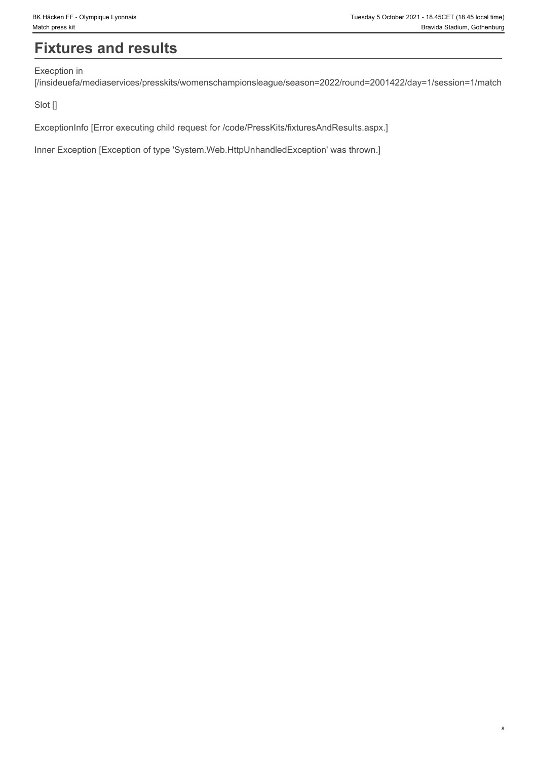# **Fixtures and results**

Execption in

[/insideuefa/mediaservices/presskits/womenschampionsleague/season=2022/round=2001422/day=1/session=1/match

Slot []

ExceptionInfo [Error executing child request for /code/PressKits/fixturesAndResults.aspx.]

Inner Exception [Exception of type 'System.Web.HttpUnhandledException' was thrown.]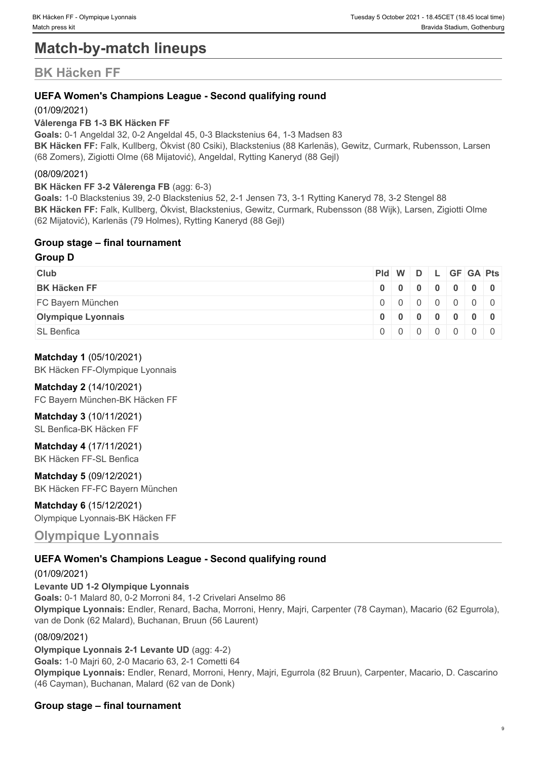# **Match-by-match lineups**

# **BK Häcken FF**

### **UEFA Women's Champions League - Second qualifying round**

### (01/09/2021)

### **Vålerenga FB 1-3 BK Häcken FF**

**Goals:** 0-1 Angeldal 32, 0-2 Angeldal 45, 0-3 Blackstenius 64, 1-3 Madsen 83 **BK Häcken FF:** Falk, Kullberg, Ökvist (80 Csiki), Blackstenius (88 Karlenäs), Gewitz, Curmark, Rubensson, Larsen (68 Zomers), Zigiotti Olme (68 Mijatović), Angeldal, Rytting Kaneryd (88 Gejl)

### (08/09/2021)

### **BK Häcken FF 3-2 Vålerenga FB** (agg: 6-3)

**Goals:** 1-0 Blackstenius 39, 2-0 Blackstenius 52, 2-1 Jensen 73, 3-1 Rytting Kaneryd 78, 3-2 Stengel 88 **BK Häcken FF:** Falk, Kullberg, Ökvist, Blackstenius, Gewitz, Curmark, Rubensson (88 Wijk), Larsen, Zigiotti Olme (62 Mijatović), Karlenäs (79 Holmes), Rytting Kaneryd (88 Gejl)

### **Group stage – final tournament**

### **Group D**

| <b>Club</b>               |  |  |  | $PId \mid W \mid D \mid L \mid GF \mid GA \mid Pts \mid$ |
|---------------------------|--|--|--|----------------------------------------------------------|
| <b>BK Häcken FF</b>       |  |  |  | $0$ 0 0 0 0 0 0 0 0                                      |
| FC Bayern München         |  |  |  | 0   0   0   0   0   0   0                                |
| <b>Olympique Lyonnais</b> |  |  |  | $0$ 0 0 0 0 0 0 0 0                                      |
| <b>SL Benfica</b>         |  |  |  | $0 0 0 0 0 0 0 0 0$                                      |

### **Matchday 1** (05/10/2021)

BK Häcken FF-Olympique Lyonnais

### **Matchday 2** (14/10/2021)

FC Bayern München-BK Häcken FF

### **Matchday 3** (10/11/2021)

SL Benfica-BK Häcken FF

### **Matchday 4** (17/11/2021)

BK Häcken FF-SL Benfica

**Matchday 5** (09/12/2021) BK Häcken FF-FC Bayern München

### **Matchday 6** (15/12/2021) Olympique Lyonnais-BK Häcken FF

### **Olympique Lyonnais**

### **UEFA Women's Champions League - Second qualifying round**

### (01/09/2021)

**Levante UD 1-2 Olympique Lyonnais Goals:** 0-1 Malard 80, 0-2 Morroni 84, 1-2 Crivelari Anselmo 86 **Olympique Lyonnais:** Endler, Renard, Bacha, Morroni, Henry, Majri, Carpenter (78 Cayman), Macario (62 Egurrola), van de Donk (62 Malard), Buchanan, Bruun (56 Laurent)

### (08/09/2021)

**Olympique Lyonnais 2-1 Levante UD** (agg: 4-2) **Goals:** 1-0 Majri 60, 2-0 Macario 63, 2-1 Cometti 64 **Olympique Lyonnais:** Endler, Renard, Morroni, Henry, Majri, Egurrola (82 Bruun), Carpenter, Macario, D. Cascarino (46 Cayman), Buchanan, Malard (62 van de Donk)

### **Group stage – final tournament**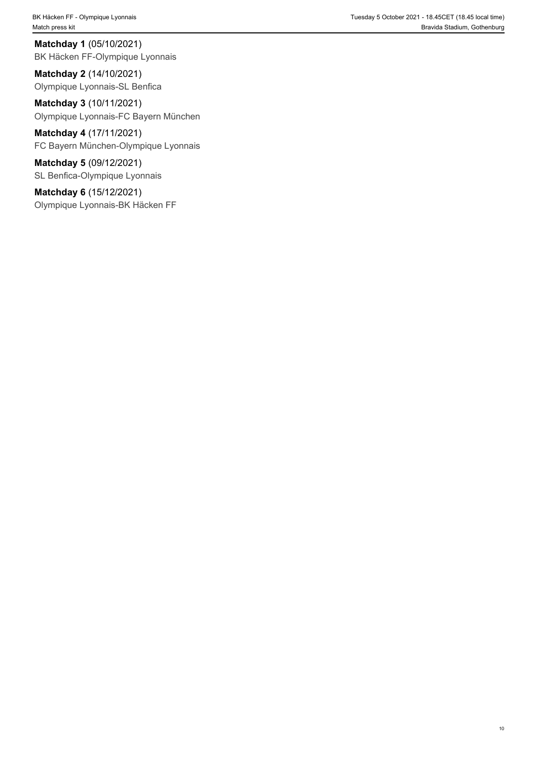BK Häcken FF - Olympique Lyonnais Tuesday 5 October 2021 - 18.45CET (18.45 local time) Match press kit **Bravida Stadium, Gothenburg** and Match press kit **Bravida Stadium, Gothenburg** and Match press kit

**Matchday 1** (05/10/2021) BK Häcken FF-Olympique Lyonnais

**Matchday 2** (14/10/2021) Olympique Lyonnais-SL Benfica

**Matchday 3** (10/11/2021) Olympique Lyonnais-FC Bayern München

**Matchday 4** (17/11/2021) FC Bayern München-Olympique Lyonnais

**Matchday 5** (09/12/2021) SL Benfica-Olympique Lyonnais

**Matchday 6** (15/12/2021) Olympique Lyonnais-BK Häcken FF